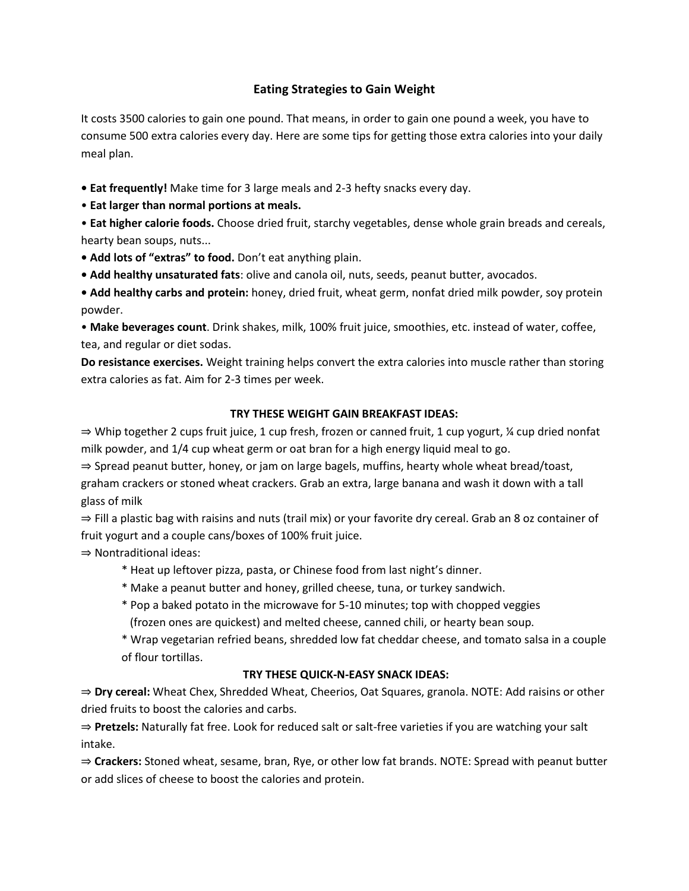# **Eating Strategies to Gain Weight**

It costs 3500 calories to gain one pound. That means, in order to gain one pound a week, you have to consume 500 extra calories every day. Here are some tips for getting those extra calories into your daily meal plan.

**• Eat frequently!** Make time for 3 large meals and 2-3 hefty snacks every day.

• **Eat larger than normal portions at meals.**

• **Eat higher calorie foods.** Choose dried fruit, starchy vegetables, dense whole grain breads and cereals, hearty bean soups, nuts...

- **Add lots of "extras" to food.** Don't eat anything plain.
- **Add healthy unsaturated fats**: olive and canola oil, nuts, seeds, peanut butter, avocados.

**• Add healthy carbs and protein:** honey, dried fruit, wheat germ, nonfat dried milk powder, soy protein powder.

• **Make beverages count**. Drink shakes, milk, 100% fruit juice, smoothies, etc. instead of water, coffee, tea, and regular or diet sodas.

**Do resistance exercises.** Weight training helps convert the extra calories into muscle rather than storing extra calories as fat. Aim for 2-3 times per week.

#### **TRY THESE WEIGHT GAIN BREAKFAST IDEAS:**

⇒ Whip together 2 cups fruit juice, 1 cup fresh, frozen or canned fruit, 1 cup yogurt, ¼ cup dried nonfat milk powder, and 1/4 cup wheat germ or oat bran for a high energy liquid meal to go.

⇒ Spread peanut butter, honey, or jam on large bagels, muffins, hearty whole wheat bread/toast,

graham crackers or stoned wheat crackers. Grab an extra, large banana and wash it down with a tall glass of milk

⇒ Fill a plastic bag with raisins and nuts (trail mix) or your favorite dry cereal. Grab an 8 oz container of fruit yogurt and a couple cans/boxes of 100% fruit juice.

⇒ Nontraditional ideas:

- \* Heat up leftover pizza, pasta, or Chinese food from last night's dinner.
- \* Make a peanut butter and honey, grilled cheese, tuna, or turkey sandwich.
- \* Pop a baked potato in the microwave for 5-10 minutes; top with chopped veggies (frozen ones are quickest) and melted cheese, canned chili, or hearty bean soup.

\* Wrap vegetarian refried beans, shredded low fat cheddar cheese, and tomato salsa in a couple of flour tortillas.

#### **TRY THESE QUICK-N-EASY SNACK IDEAS:**

⇒ **Dry cereal:** Wheat Chex, Shredded Wheat, Cheerios, Oat Squares, granola. NOTE: Add raisins or other dried fruits to boost the calories and carbs.

⇒ **Pretzels:** Naturally fat free. Look for reduced salt or salt-free varieties if you are watching your salt intake.

⇒ **Crackers:** Stoned wheat, sesame, bran, Rye, or other low fat brands. NOTE: Spread with peanut butter or add slices of cheese to boost the calories and protein.